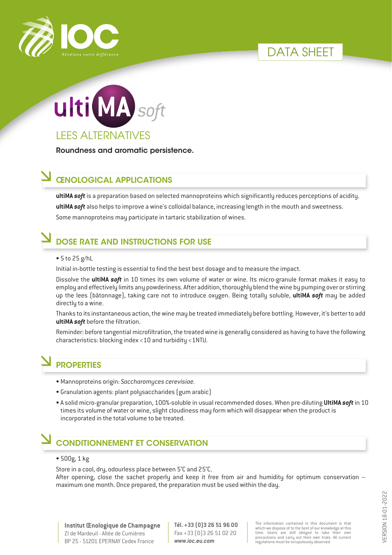

# DATA SHFFT



Roundness and aromatic persistence.

### ŒNOLOGICAL APPLICATIONS

**ultiMA** *soft* is a preparation based on selected mannoproteins which significantly reduces perceptions of acidity. **ultiMA** *soft* also helps to improve a wine's colloidal balance, increasing length in the mouth and sweetness. Some mannoproteins may participate in tartaric stabilization of wines.

# DOSE RATE AND INSTRUCTIONS FOR USE

#### • 5 to 25 g/hL

Initial in-bottle testing is essential to find the best best dosage and to measure the impact.

Dissolve the **ultiMA** *soft* in 10 times its own volume of water or wine. Its micro-granule format makes it easy to employ and effectively limits any powderiness. After addition, thoroughly blend the wine by pumping over or stirring up the lees (bâtonnage), taking care not to introduce oxygen. Being totally soluble, **ultiMA** *soft* may be added directly to a wine.

Thanks to its instantaneous action, the wine may be treated immediately before bottling. However, it's better to add **ultiMA** *soft* before the filtration.

Reminder: before tangential microfiltration, the treated wine is generally considered as having to have the following characteristics: blocking index <10 and turbidity <1NTU.

# **PROPERTIES**

- Mannoproteins origin: *Saccharomyces cerevisiae.*
- Granulation agents: plant polysaccharides (gum arabic)
- A solid micro-granular preparation, 100%-soluble in usual recommended doses. When pre-diluting **UltiMA** *soft* in 10 times its volume of water or wine, slight cloudiness may form which will disappear when the product is incorporated in the total volume to be treated.

### CONDITIONNEMENT ET CONSERVATION

#### • 500g, 1 kg

Store in a cool, dry, odourless place between 5°C and 25°C.

After opening, close the sachet properly and keep it free from air and humidity for optimum conservation – maximum one month. Once prepared, the preparation must be used within the day.

**Institut Œnologique de Champagne** ZI de Mardeuil - Allée de Cumières BP 25 - 51201 EPERNAY Cedex France

**Tél. +33 (0)3 26 51 96 00** Fax +33 (0)3 26 51 02 20 *www.ioc.eu.com*

The information contained in this document is that which we dispose of to the best of our knowledge at this time. Users are still obliged to take their own precautions and carry out their own trials. All current regulations must be scrupulously observed.